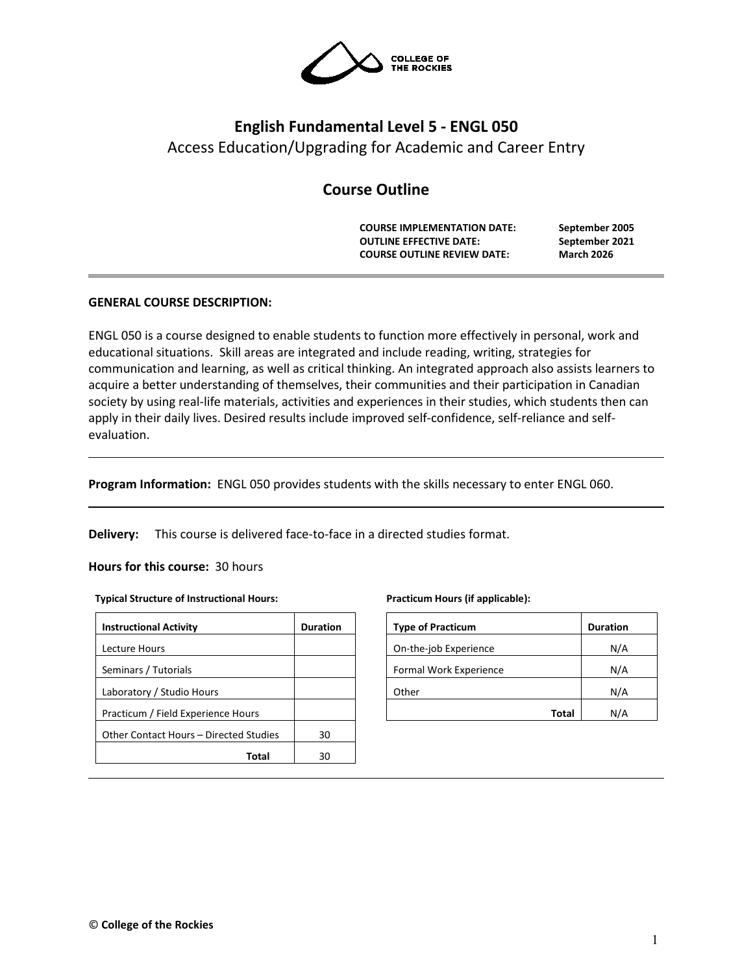

# **English Fundamental Level 5 - ENGL 050** Access Education/Upgrading for Academic and Career Entry

## **Course Outline**

**COURSE IMPLEMENTATION DATE: September 2005 OUTLINE EFFECTIVE DATE: COURSE OUTLINE REVIEW DATE: March 2026**

## **GENERAL COURSE DESCRIPTION:**

ENGL 050 is a course designed to enable students to function more effectively in personal, work and educational situations. Skill areas are integrated and include reading, writing, strategies for communication and learning, as well as critical thinking. An integrated approach also assists learners to acquire a better understanding of themselves, their communities and their participation in Canadian society by using real-life materials, activities and experiences in their studies, which students then can apply in their daily lives. Desired results include improved self-confidence, self-reliance and selfevaluation.

**Program Information:** ENGL 050 provides students with the skills necessary to enter ENGL 060.

**Delivery:** This course is delivered face-to-face in a directed studies format.

#### **Hours for this course:** 30 hours

#### **Typical Structure of Instructional Hours:**

| <b>Instructional Activity</b>          | <b>Duration</b> |
|----------------------------------------|-----------------|
| Lecture Hours                          |                 |
| Seminars / Tutorials                   |                 |
| Laboratory / Studio Hours              |                 |
| Practicum / Field Experience Hours     |                 |
| Other Contact Hours – Directed Studies | 30              |
| Total                                  | 30              |

#### **Practicum Hours (if applicable):**

| <b>Type of Practicum</b> | <b>Duration</b> |
|--------------------------|-----------------|
| On-the-job Experience    | N/A             |
| Formal Work Experience   | N/A             |
| Other                    | N/A             |
| Total                    | N/A             |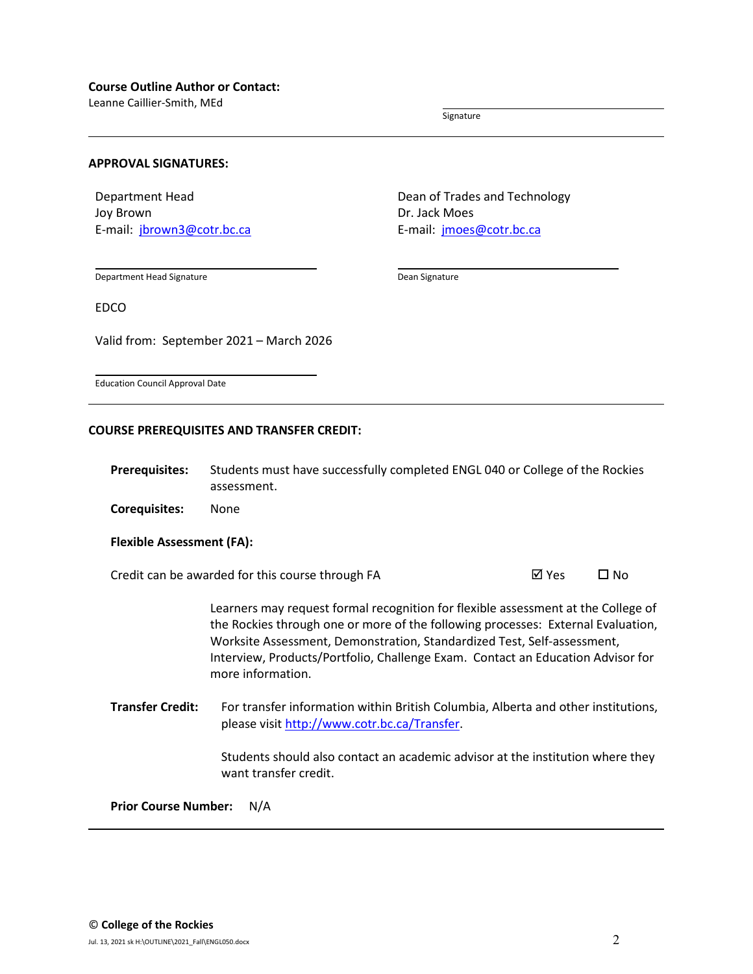Leanne Caillier-Smith, MEd

Signature

#### **APPROVAL SIGNATURES:**

Department Head Joy Brown E-mail: [jbrown3@cotr.bc.ca](mailto:jbrown3@cotr.bc.ca) Dean of Trades and Technology Dr. Jack Moes E-mail: *[jmoes@cotr.bc.ca](mailto:jmoes@cotr.bc.ca)* 

Department Head Signature

Dean Signature

EDCO

Valid from: September 2021 – March 2026

Education Council Approval Date

#### **COURSE PREREQUISITES AND TRANSFER CREDIT:**

**Prerequisites:** Students must have successfully completed ENGL 040 or College of the Rockies assessment.

**Corequisites:** None

#### **Flexible Assessment (FA):**

Credit can be awarded for this course through FA  $\boxtimes$  Yes  $\Box$  No

Learners may request formal recognition for flexible assessment at the College of the Rockies through one or more of the following processes: External Evaluation, Worksite Assessment, Demonstration, Standardized Test, Self-assessment, Interview, Products/Portfolio, Challenge Exam. Contact an Education Advisor for more information.

**Transfer Credit:** For transfer information within British Columbia, Alberta and other institutions, please visit [http://www.cotr.bc.ca/Transfer.](http://www.cotr.bc.ca/Transfer)

> Students should also contact an academic advisor at the institution where they want transfer credit.

**Prior Course Number:** N/A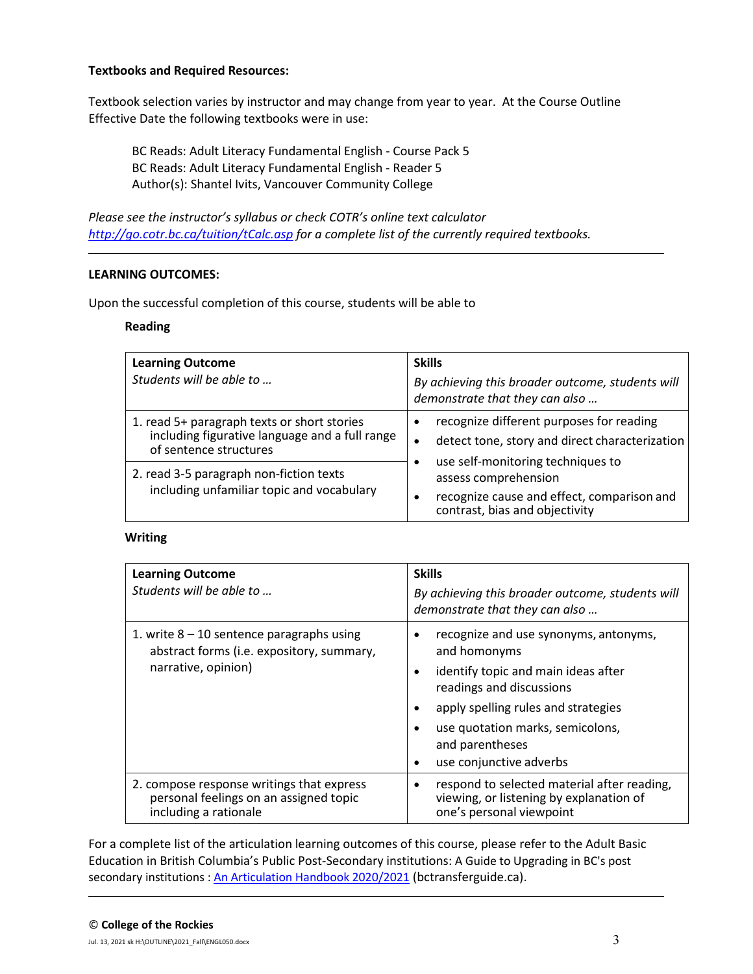## **Textbooks and Required Resources:**

Textbook selection varies by instructor and may change from year to year. At the Course Outline Effective Date the following textbooks were in use:

BC Reads: Adult Literacy Fundamental English - Course Pack 5 BC Reads: Adult Literacy Fundamental English - Reader 5 Author(s): Shantel Ivits, Vancouver Community College

*Please see the instructor's syllabus or check COTR's online text calculator <http://go.cotr.bc.ca/tuition/tCalc.asp> for a complete list of the currently required textbooks.*

## **LEARNING OUTCOMES:**

Upon the successful completion of this course, students will be able to

#### **Reading**

| <b>Learning Outcome</b><br>Students will be able to                                                                     | <b>Skills</b><br>By achieving this broader outcome, students will<br>demonstrate that they can also                                       |
|-------------------------------------------------------------------------------------------------------------------------|-------------------------------------------------------------------------------------------------------------------------------------------|
| 1. read 5+ paragraph texts or short stories<br>including figurative language and a full range<br>of sentence structures | recognize different purposes for reading<br>detect tone, story and direct characterization<br>$\bullet$                                   |
| 2. read 3-5 paragraph non-fiction texts<br>including unfamiliar topic and vocabulary                                    | use self-monitoring techniques to<br>assess comprehension<br>recognize cause and effect, comparison and<br>contrast, bias and objectivity |

## **Writing**

| <b>Learning Outcome</b><br>Students will be able to                                                             | <b>Skills</b><br>By achieving this broader outcome, students will<br>demonstrate that they can also                                                                                                                                               |  |
|-----------------------------------------------------------------------------------------------------------------|---------------------------------------------------------------------------------------------------------------------------------------------------------------------------------------------------------------------------------------------------|--|
| 1. write $8 - 10$ sentence paragraphs using<br>abstract forms (i.e. expository, summary,<br>narrative, opinion) | recognize and use synonyms, antonyms,<br>and homonyms<br>identify topic and main ideas after<br>readings and discussions<br>apply spelling rules and strategies<br>use quotation marks, semicolons,<br>and parentheses<br>use conjunctive adverbs |  |
| 2. compose response writings that express<br>personal feelings on an assigned topic<br>including a rationale    | respond to selected material after reading,<br>viewing, or listening by explanation of<br>one's personal viewpoint                                                                                                                                |  |

For a complete list of the articulation learning outcomes of this course, please refer to the Adult Basic Education in British Columbia's Public Post-Secondary institutions: A Guide to Upgrading in BC's post secondary institutions : [An Articulation Handbook 2020/2021](https://www.bctransferguide.ca/docs/ABE2020.pdf) (bctransferguide.ca).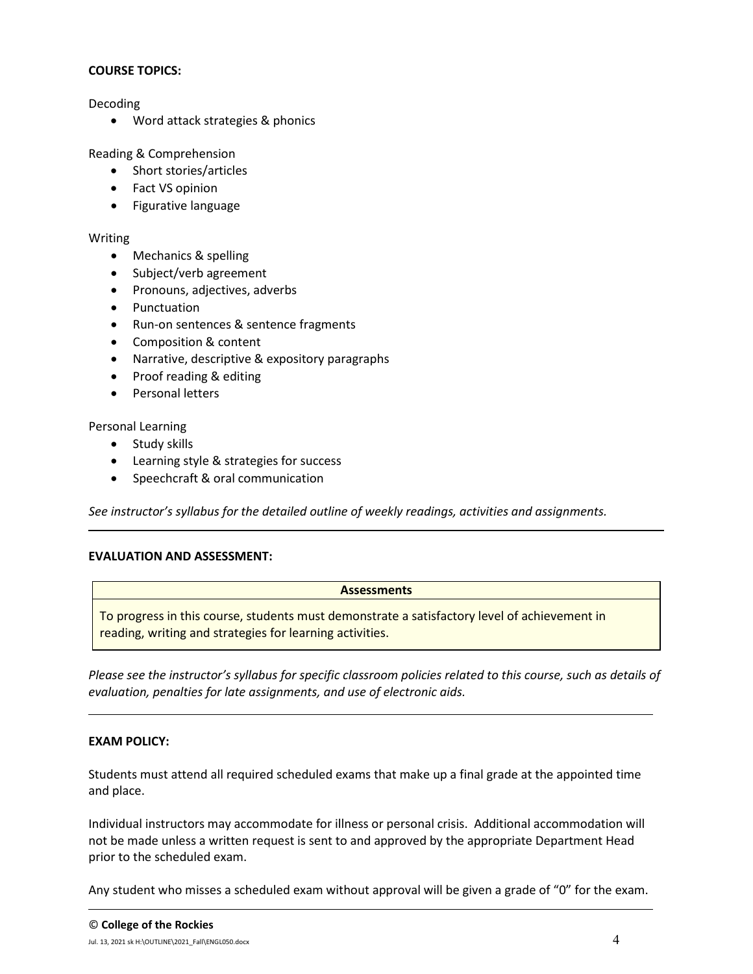## **COURSE TOPICS:**

Decoding

• Word attack strategies & phonics

Reading & Comprehension

- Short stories/articles
- Fact VS opinion
- Figurative language

## Writing

- Mechanics & spelling
- Subject/verb agreement
- Pronouns, adjectives, adverbs
- Punctuation
- Run-on sentences & sentence fragments
- Composition & content
- Narrative, descriptive & expository paragraphs
- Proof reading & editing
- Personal letters

Personal Learning

- Study skills
- Learning style & strategies for success
- Speechcraft & oral communication

*See instructor's syllabus for the detailed outline of weekly readings, activities and assignments.* 

## **EVALUATION AND ASSESSMENT:**

| <b>Assessments</b>                                                                                                                                       |
|----------------------------------------------------------------------------------------------------------------------------------------------------------|
| To progress in this course, students must demonstrate a satisfactory level of achievement in<br>reading, writing and strategies for learning activities. |

*Please see the instructor's syllabus for specific classroom policies related to this course, such as details of evaluation, penalties for late assignments, and use of electronic aids.*

## **EXAM POLICY:**

Students must attend all required scheduled exams that make up a final grade at the appointed time and place.

Individual instructors may accommodate for illness or personal crisis. Additional accommodation will not be made unless a written request is sent to and approved by the appropriate Department Head prior to the scheduled exam.

Any student who misses a scheduled exam without approval will be given a grade of "0" for the exam.